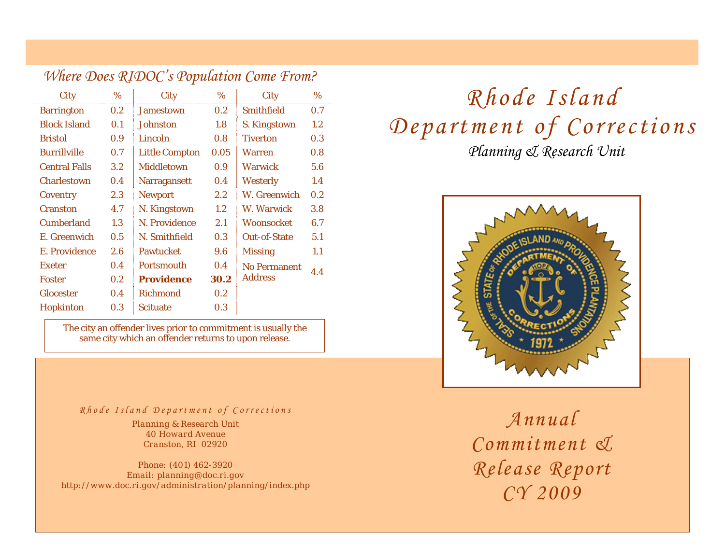|                      |         | $\sum$                |                  |                     |         |
|----------------------|---------|-----------------------|------------------|---------------------|---------|
| City                 | %       | <b>City</b>           | $\%$             | City                | %       |
| <b>Barrington</b>    | 0.2     | <b>Jamestown</b>      | 0.2              | <b>Smithfield</b>   | 0.7     |
| <b>Block Island</b>  | 0.1     | Johnston              | 1.8              | S. Kingstown        | $1.2\,$ |
| <b>Bristol</b>       | 0.9     | Lincoln               | 0.8              | <b>Tiverton</b>     | 0.3     |
| <b>Burrillville</b>  | 0.7     | <b>Little Compton</b> | 0.05             | <b>Warren</b>       | 0.8     |
| <b>Central Falls</b> | $3.2\,$ | <b>Middletown</b>     | 0.9 <sub>0</sub> | <b>Warwick</b>      | 5.6     |
| <b>Charlestown</b>   | 0.4     | <b>Narragansett</b>   | 0.4              | <b>Westerly</b>     | 1.4     |
| Coventry             | 2.3     | <b>Newport</b>        | $2.2\,$          | W. Greenwich        | 0.2     |
| <b>Cranston</b>      | 4.7     | N. Kingstown          | $1.2\,$          | W. Warwick          | 3.8     |
| <b>Cumberland</b>    | 1.3     | N. Providence         | 2.1              | <b>Woonsocket</b>   | 6.7     |
| E. Greenwich         | 0.5     | N. Smithfield         | 0.3              | <b>Out-of-State</b> | 5.1     |
| E. Providence        | 2.6     | <b>Pawtucket</b>      | 9.6              | <b>Missing</b>      | 1.1     |
| <b>Exeter</b>        | 0.4     | <b>Portsmouth</b>     | 0.4              | <b>No Permanent</b> |         |
| <b>Foster</b>        | 0.2     | <b>Providence</b>     | 30.2             | <b>Address</b>      | 4.4     |
| <b>Glocester</b>     | 0.4     | <b>Richmond</b>       | 0.2              |                     |         |
| Hopkinton            | 0.3     | <b>Scituate</b>       | 0.3              |                     |         |

*Where Does RIDOC's Population Come From?*

The city an offender lives prior to commitment is usually the same city which an offender returns to upon release.

## *Rhode Island Department of Corrections Annual*

*Planning & Research Unit 40 Howard Avenue Cranston, RI 02920* 

*Phone: (401) 462-3920 Email: planning@doc.ri.gov http://www.doc.ri.gov/administration/planning/index.php*

# *Planning & Research Unit Rhode Island Department of Corrections*



*Commitment & Release Report CY 2009*